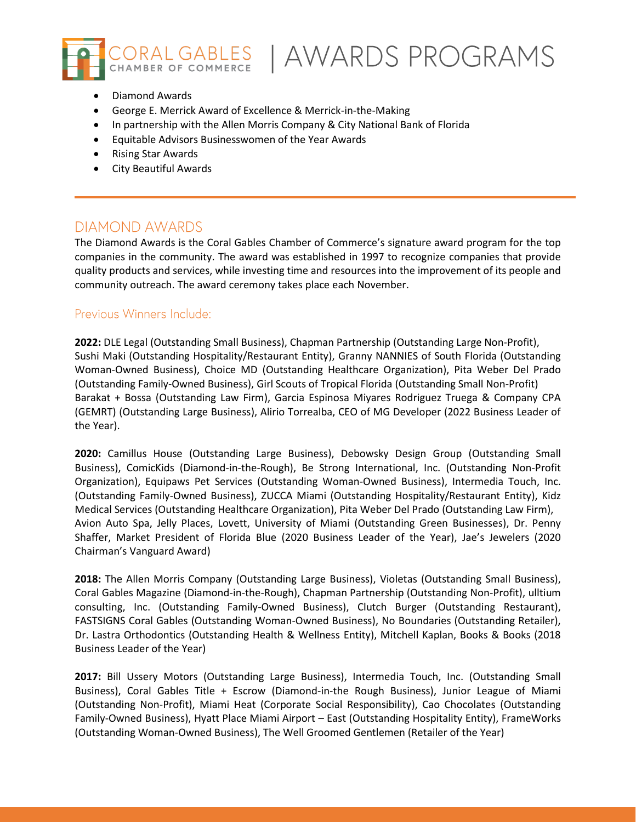

CORAL GABLES | AWARDS PROGRAMS

- Diamond Awards
- George E. Merrick Award of Excellence & Merrick-in-the-Making
- In partnership with the Allen Morris Company & City National Bank of Florida
- Equitable Advisors Businesswomen of the Year Awards
- Rising Star Awards
- City Beautiful Awards

## DIAMOND AWARDS

The Diamond Awards is the Coral Gables Chamber of Commerce's signature award program for the top companies in the community. The award was established in 1997 to recognize companies that provide quality products and services, while investing time and resources into the improvement of its people and community outreach. The award ceremony takes place each November.

### Previous Winners Include:

**2022:** DLE Legal (Outstanding Small Business), Chapman Partnership (Outstanding Large Non-Profit), Sushi Maki (Outstanding Hospitality/Restaurant Entity), Granny NANNIES of South Florida (Outstanding Woman-Owned Business), Choice MD (Outstanding Healthcare Organization), Pita Weber Del Prado (Outstanding Family-Owned Business), Girl Scouts of Tropical Florida (Outstanding Small Non-Profit) Barakat + Bossa (Outstanding Law Firm), Garcia Espinosa Miyares Rodriguez Truega & Company CPA (GEMRT) (Outstanding Large Business), Alirio Torrealba, CEO of MG Developer (2022 Business Leader of the Year).

**2020:** Camillus House (Outstanding Large Business), Debowsky Design Group (Outstanding Small Business), ComicKids (Diamond-in-the-Rough), Be Strong International, Inc. (Outstanding Non-Profit Organization), Equipaws Pet Services (Outstanding Woman-Owned Business), Intermedia Touch, Inc. (Outstanding Family-Owned Business), ZUCCA Miami (Outstanding Hospitality/Restaurant Entity), Kidz Medical Services (Outstanding Healthcare Organization), Pita Weber Del Prado (Outstanding Law Firm), Avion Auto Spa, Jelly Places, Lovett, University of Miami (Outstanding Green Businesses), Dr. Penny Shaffer, Market President of Florida Blue (2020 Business Leader of the Year), Jae's Jewelers (2020 Chairman's Vanguard Award)

**2018:** The Allen Morris Company (Outstanding Large Business), Violetas (Outstanding Small Business), Coral Gables Magazine (Diamond-in-the-Rough), Chapman Partnership (Outstanding Non-Profit), ulltium consulting, Inc. (Outstanding Family-Owned Business), Clutch Burger (Outstanding Restaurant), FASTSIGNS Coral Gables (Outstanding Woman-Owned Business), No Boundaries (Outstanding Retailer), Dr. Lastra Orthodontics (Outstanding Health & Wellness Entity), Mitchell Kaplan, Books & Books (2018 Business Leader of the Year)

**2017:** Bill Ussery Motors (Outstanding Large Business), Intermedia Touch, Inc. (Outstanding Small Business), Coral Gables Title + Escrow (Diamond-in-the Rough Business), Junior League of Miami (Outstanding Non-Profit), Miami Heat (Corporate Social Responsibility), Cao Chocolates (Outstanding Family-Owned Business), Hyatt Place Miami Airport – East (Outstanding Hospitality Entity), FrameWorks (Outstanding Woman-Owned Business), The Well Groomed Gentlemen (Retailer of the Year)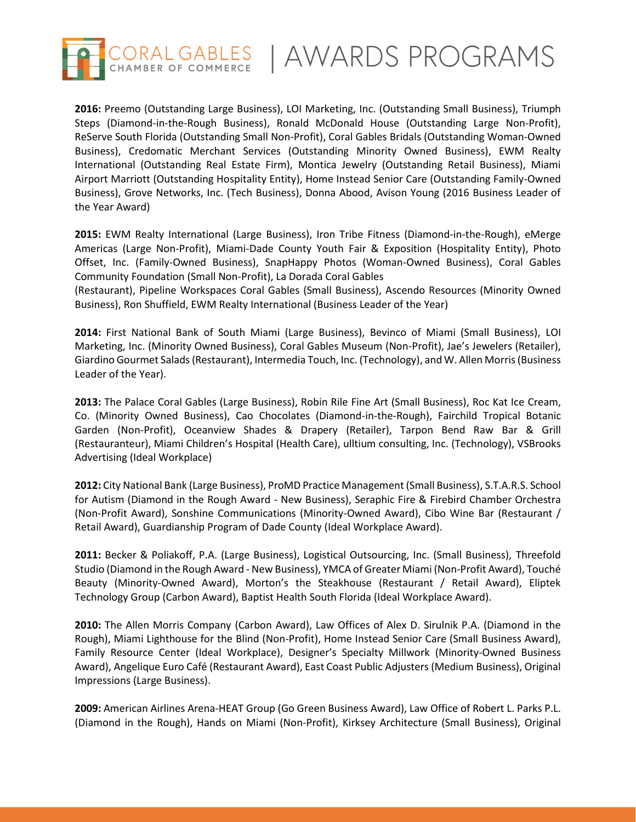

**2016:** Preemo (Outstanding Large Business), LOI Marketing, Inc. (Outstanding Small Business), Triumph Steps (Diamond-in-the-Rough Business), Ronald McDonald House (Outstanding Large Non-Profit), ReServe South Florida (Outstanding Small Non-Profit), Coral Gables Bridals (Outstanding Woman-Owned Business), Credomatic Merchant Services (Outstanding Minority Owned Business), EWM Realty International (Outstanding Real Estate Firm), Montica Jewelry (Outstanding Retail Business), Miami Airport Marriott (Outstanding Hospitality Entity), Home Instead Senior Care (Outstanding Family-Owned Business), Grove Networks, Inc. (Tech Business), Donna Abood, Avison Young (2016 Business Leader of the Year Award)

**2015:** EWM Realty International (Large Business), Iron Tribe Fitness (Diamond-in-the-Rough), eMerge Americas (Large Non-Profit), Miami-Dade County Youth Fair & Exposition (Hospitality Entity), Photo Offset, Inc. (Family-Owned Business), SnapHappy Photos (Woman-Owned Business), Coral Gables Community Foundation (Small Non-Profit), La Dorada Coral Gables

(Restaurant), Pipeline Workspaces Coral Gables (Small Business), Ascendo Resources (Minority Owned Business), Ron Shuffield, EWM Realty International (Business Leader of the Year)

**2014:** First National Bank of South Miami (Large Business), Bevinco of Miami (Small Business), LOI Marketing, Inc. (Minority Owned Business), Coral Gables Museum (Non-Profit), Jae's Jewelers (Retailer), Giardino Gourmet Salads (Restaurant), Intermedia Touch, Inc. (Technology), and W. Allen Morris (Business Leader of the Year).

**2013:** The Palace Coral Gables (Large Business), Robin Rile Fine Art (Small Business), Roc Kat Ice Cream, Co. (Minority Owned Business), Cao Chocolates (Diamond-in-the-Rough), Fairchild Tropical Botanic Garden (Non-Profit), Oceanview Shades & Drapery (Retailer), Tarpon Bend Raw Bar & Grill (Restauranteur), Miami Children's Hospital (Health Care), ulltium consulting, Inc. (Technology), VSBrooks Advertising (Ideal Workplace)

**2012:** City National Bank (Large Business), ProMD Practice Management (Small Business), S.T.A.R.S. School for Autism (Diamond in the Rough Award - New Business), Seraphic Fire & Firebird Chamber Orchestra (Non-Profit Award), Sonshine Communications (Minority-Owned Award), Cibo Wine Bar (Restaurant / Retail Award), Guardianship Program of Dade County (Ideal Workplace Award).

**2011:** Becker & Poliakoff, P.A. (Large Business), Logistical Outsourcing, Inc. (Small Business), Threefold Studio (Diamond in the Rough Award - New Business), YMCA of Greater Miami (Non-Profit Award), Touché Beauty (Minority-Owned Award), Morton's the Steakhouse (Restaurant / Retail Award), Eliptek Technology Group (Carbon Award), Baptist Health South Florida (Ideal Workplace Award).

**2010:** The Allen Morris Company (Carbon Award), Law Offices of Alex D. Sirulnik P.A. (Diamond in the Rough), Miami Lighthouse for the Blind (Non-Profit), Home Instead Senior Care (Small Business Award), Family Resource Center (Ideal Workplace), Designer's Specialty Millwork (Minority-Owned Business Award), Angelique Euro Café (Restaurant Award), East Coast Public Adjusters (Medium Business), Original Impressions (Large Business).

**2009:** American Airlines Arena-HEAT Group (Go Green Business Award), Law Office of Robert L. Parks P.L. (Diamond in the Rough), Hands on Miami (Non-Profit), Kirksey Architecture (Small Business), Original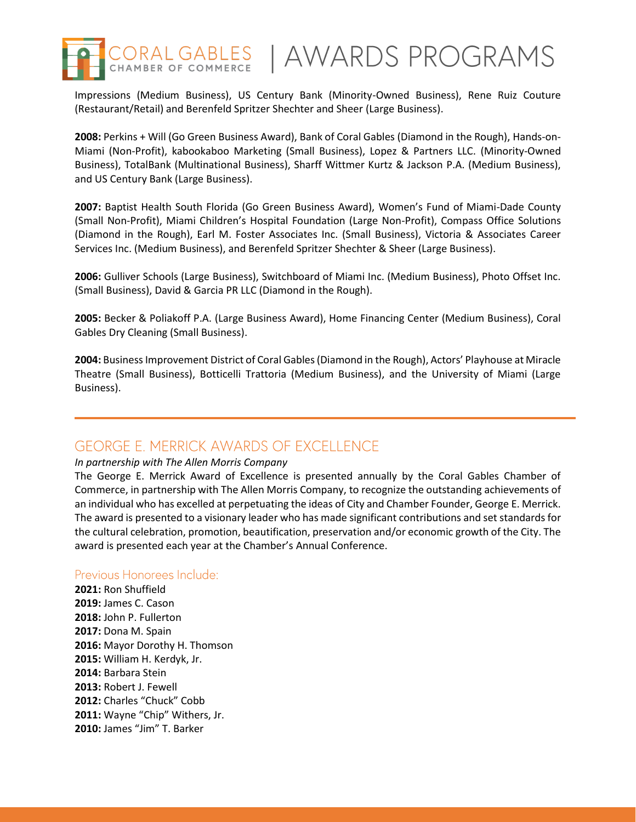

CORAL GABLES | AWARDS PROGRAMS

Impressions (Medium Business), US Century Bank (Minority-Owned Business), Rene Ruiz Couture (Restaurant/Retail) and Berenfeld Spritzer Shechter and Sheer (Large Business).

**2008:** Perkins + Will (Go Green Business Award), Bank of Coral Gables (Diamond in the Rough), Hands-on-Miami (Non-Profit), kabookaboo Marketing (Small Business), Lopez & Partners LLC. (Minority-Owned Business), TotalBank (Multinational Business), Sharff Wittmer Kurtz & Jackson P.A. (Medium Business), and US Century Bank (Large Business).

**2007:** Baptist Health South Florida (Go Green Business Award), Women's Fund of Miami-Dade County (Small Non-Profit), Miami Children's Hospital Foundation (Large Non-Profit), Compass Office Solutions (Diamond in the Rough), Earl M. Foster Associates Inc. (Small Business), Victoria & Associates Career Services Inc. (Medium Business), and Berenfeld Spritzer Shechter & Sheer (Large Business).

**2006:** Gulliver Schools (Large Business), Switchboard of Miami Inc. (Medium Business), Photo Offset Inc. (Small Business), David & Garcia PR LLC (Diamond in the Rough).

**2005:** Becker & Poliakoff P.A. (Large Business Award), Home Financing Center (Medium Business), Coral Gables Dry Cleaning (Small Business).

**2004:** Business Improvement District of Coral Gables (Diamond in the Rough), Actors' Playhouse at Miracle Theatre (Small Business), Botticelli Trattoria (Medium Business), and the University of Miami (Large Business).

## **GEORGE E. MERRICK AWARDS OF EXCELLENCE**

#### *In partnership with The Allen Morris Company*

The George E. Merrick Award of Excellence is presented annually by the Coral Gables Chamber of Commerce, in partnership with The Allen Morris Company, to recognize the outstanding achievements of an individual who has excelled at perpetuating the ideas of City and Chamber Founder, George E. Merrick. The award is presented to a visionary leader who has made significant contributions and set standards for the cultural celebration, promotion, beautification, preservation and/or economic growth of the City. The award is presented each year at the Chamber's Annual Conference.

### Previous Honorees Include:

**2021:** Ron Shuffield **2019:** James C. Cason **2018:** John P. Fullerton **2017:** Dona M. Spain **2016:** Mayor Dorothy H. Thomson **2015:** William H. Kerdyk, Jr. **2014:** Barbara Stein **2013:** Robert J. Fewell **2012:** Charles "Chuck" Cobb **2011:** Wayne "Chip" Withers, Jr. **2010:** James "Jim" T. Barker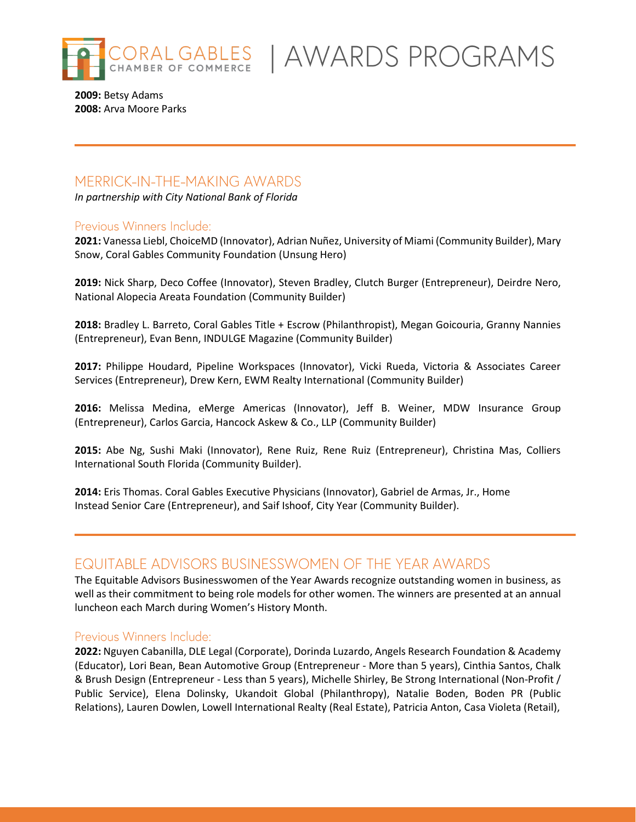

LGABLES | AWARDS PROGRAMS

**2009:** Betsy Adams **2008:** Arva Moore Parks

# **MERRICK-IN-THE-MAKING AWARDS**

*In partnership with City National Bank of Florida*

### Previous Winners Include:

**2021:** Vanessa Liebl, ChoiceMD (Innovator), Adrian Nuñez, University of Miami (Community Builder), Mary Snow, Coral Gables Community Foundation (Unsung Hero)

**2019:** Nick Sharp, Deco Coffee (Innovator), Steven Bradley, Clutch Burger (Entrepreneur), Deirdre Nero, National Alopecia Areata Foundation (Community Builder)

**2018:** Bradley L. Barreto, Coral Gables Title + Escrow (Philanthropist), Megan Goicouria, Granny Nannies (Entrepreneur), Evan Benn, INDULGE Magazine (Community Builder)

**2017:** Philippe Houdard, Pipeline Workspaces (Innovator), Vicki Rueda, Victoria & Associates Career Services (Entrepreneur), Drew Kern, EWM Realty International (Community Builder)

**2016:** Melissa Medina, eMerge Americas (Innovator), Jeff B. Weiner, MDW Insurance Group (Entrepreneur), Carlos Garcia, Hancock Askew & Co., LLP (Community Builder)

**2015:** Abe Ng, Sushi Maki (Innovator), Rene Ruiz, Rene Ruiz (Entrepreneur), Christina Mas, Colliers International South Florida (Community Builder).

**2014:** Eris Thomas. Coral Gables Executive Physicians (Innovator), Gabriel de Armas, Jr., Home Instead Senior Care (Entrepreneur), and Saif Ishoof, City Year (Community Builder).

# EQUITABLE ADVISORS BUSINESSWOMEN OF THE YEAR AWARDS

The Equitable Advisors Businesswomen of the Year Awards recognize outstanding women in business, as well as their commitment to being role models for other women. The winners are presented at an annual luncheon each March during Women's History Month.

### Previous Winners Include:

**2022:** Nguyen Cabanilla, DLE Legal (Corporate), Dorinda Luzardo, Angels Research Foundation & Academy (Educator), Lori Bean, Bean Automotive Group (Entrepreneur - More than 5 years), Cinthia Santos, Chalk & Brush Design (Entrepreneur - Less than 5 years), Michelle Shirley, Be Strong International (Non-Profit / Public Service), Elena Dolinsky, Ukandoit Global (Philanthropy), Natalie Boden, Boden PR (Public Relations), Lauren Dowlen, Lowell International Realty (Real Estate), Patricia Anton, Casa Violeta (Retail),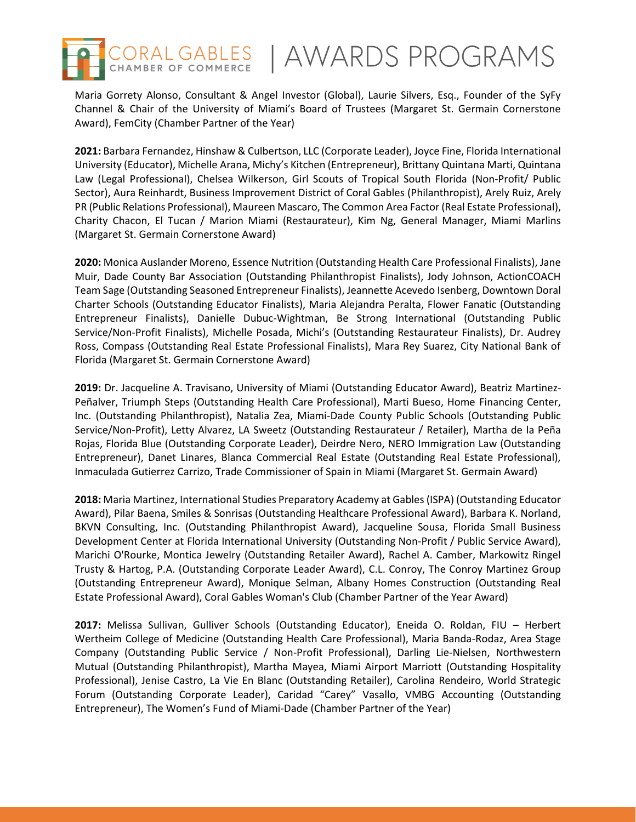

Maria Gorrety Alonso, Consultant & Angel Investor (Global), Laurie Silvers, Esq., Founder of the SyFy Channel & Chair of the University of Miami's Board of Trustees (Margaret St. Germain Cornerstone Award), FemCity (Chamber Partner of the Year)

**2021:** Barbara Fernandez, Hinshaw & Culbertson, LLC (Corporate Leader), Joyce Fine, Florida International University (Educator), Michelle Arana, Michy's Kitchen (Entrepreneur), Brittany Quintana Marti, Quintana Law (Legal Professional), Chelsea Wilkerson, Girl Scouts of Tropical South Florida (Non-Profit/ Public Sector), Aura Reinhardt, Business Improvement District of Coral Gables (Philanthropist), Arely Ruiz, Arely PR (Public Relations Professional), Maureen Mascaro, The Common Area Factor (Real Estate Professional), Charity Chacon, El Tucan / Marion Miami (Restaurateur), Kim Ng, General Manager, Miami Marlins (Margaret St. Germain Cornerstone Award)

**2020:** Monica Auslander Moreno, Essence Nutrition (Outstanding Health Care Professional Finalists), Jane Muir, Dade County Bar Association (Outstanding Philanthropist Finalists), Jody Johnson, ActionCOACH Team Sage (Outstanding Seasoned Entrepreneur Finalists), Jeannette Acevedo Isenberg, Downtown Doral Charter Schools (Outstanding Educator Finalists), Maria Alejandra Peralta, Flower Fanatic (Outstanding Entrepreneur Finalists), Danielle Dubuc-Wightman, Be Strong International (Outstanding Public Service/Non-Profit Finalists), Michelle Posada, Michi's (Outstanding Restaurateur Finalists), Dr. Audrey Ross, Compass (Outstanding Real Estate Professional Finalists), Mara Rey Suarez, City National Bank of Florida (Margaret St. Germain Cornerstone Award)

**2019:** Dr. Jacqueline A. Travisano, University of Miami (Outstanding Educator Award), Beatriz Martinez-Peñalver, Triumph Steps (Outstanding Health Care Professional), Marti Bueso, Home Financing Center, Inc. (Outstanding Philanthropist), Natalia Zea, Miami-Dade County Public Schools (Outstanding Public Service/Non-Profit), Letty Alvarez, LA Sweetz (Outstanding Restaurateur / Retailer), Martha de la Peña Rojas, Florida Blue (Outstanding Corporate Leader), Deirdre Nero, NERO Immigration Law (Outstanding Entrepreneur), Danet Linares, Blanca Commercial Real Estate (Outstanding Real Estate Professional), Inmaculada Gutierrez Carrizo, Trade Commissioner of Spain in Miami (Margaret St. Germain Award)

**2018:** Maria Martinez, International Studies Preparatory Academy at Gables (ISPA) (Outstanding Educator Award), Pilar Baena, Smiles & Sonrisas (Outstanding Healthcare Professional Award), Barbara K. Norland, BKVN Consulting, Inc. (Outstanding Philanthropist Award), Jacqueline Sousa, Florida Small Business Development Center at Florida International University (Outstanding Non-Profit / Public Service Award), Marichi O'Rourke, Montica Jewelry (Outstanding Retailer Award), Rachel A. Camber, Markowitz Ringel Trusty & Hartog, P.A. (Outstanding Corporate Leader Award), C.L. Conroy, The Conroy Martinez Group (Outstanding Entrepreneur Award), Monique Selman, Albany Homes Construction (Outstanding Real Estate Professional Award), Coral Gables Woman's Club (Chamber Partner of the Year Award)

**2017:** Melissa Sullivan, Gulliver Schools (Outstanding Educator), Eneida O. Roldan, FIU – Herbert Wertheim College of Medicine (Outstanding Health Care Professional), Maria Banda-Rodaz, Area Stage Company (Outstanding Public Service / Non-Profit Professional), Darling Lie-Nielsen, Northwestern Mutual (Outstanding Philanthropist), Martha Mayea, Miami Airport Marriott (Outstanding Hospitality Professional), Jenise Castro, La Vie En Blanc (Outstanding Retailer), Carolina Rendeiro, World Strategic Forum (Outstanding Corporate Leader), Caridad "Carey" Vasallo, VMBG Accounting (Outstanding Entrepreneur), The Women's Fund of Miami-Dade (Chamber Partner of the Year)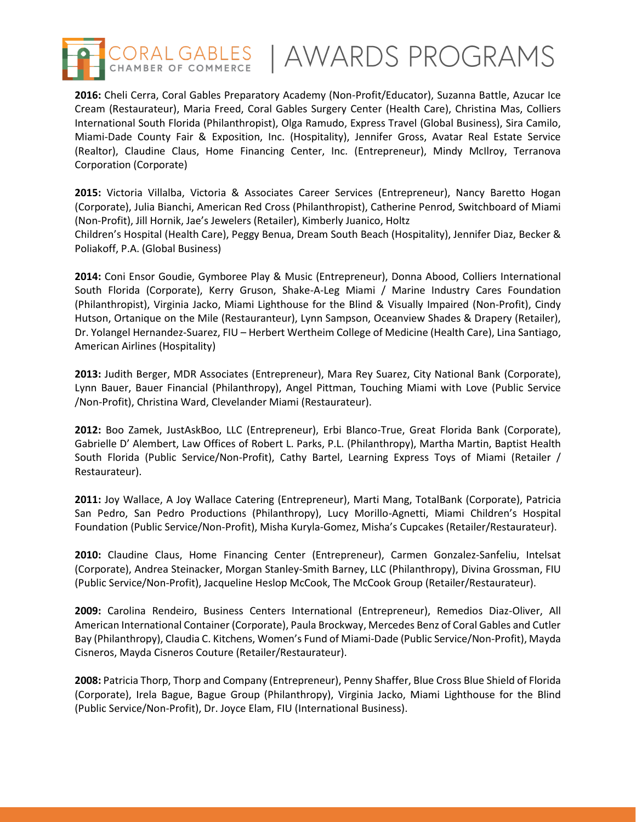

CORAL GABLES | AWARDS PROGRAMS

**2016:** Cheli Cerra, Coral Gables Preparatory Academy (Non-Profit/Educator), Suzanna Battle, Azucar Ice Cream (Restaurateur), Maria Freed, Coral Gables Surgery Center (Health Care), Christina Mas, Colliers International South Florida (Philanthropist), Olga Ramudo, Express Travel (Global Business), Sira Camilo, Miami-Dade County Fair & Exposition, Inc. (Hospitality), Jennifer Gross, Avatar Real Estate Service (Realtor), Claudine Claus, Home Financing Center, Inc. (Entrepreneur), Mindy McIlroy, Terranova Corporation (Corporate)

**2015:** Victoria Villalba, Victoria & Associates Career Services (Entrepreneur), Nancy Baretto Hogan (Corporate), Julia Bianchi, American Red Cross (Philanthropist), Catherine Penrod, Switchboard of Miami (Non-Profit), Jill Hornik, Jae's Jewelers (Retailer), Kimberly Juanico, Holtz

Children's Hospital (Health Care), Peggy Benua, Dream South Beach (Hospitality), Jennifer Diaz, Becker & Poliakoff, P.A. (Global Business)

**2014:** Coni Ensor Goudie, Gymboree Play & Music (Entrepreneur), Donna Abood, Colliers International South Florida (Corporate), Kerry Gruson, Shake-A-Leg Miami / Marine Industry Cares Foundation (Philanthropist), Virginia Jacko, Miami Lighthouse for the Blind & Visually Impaired (Non-Profit), Cindy Hutson, Ortanique on the Mile (Restauranteur), Lynn Sampson, Oceanview Shades & Drapery (Retailer), Dr. Yolangel Hernandez-Suarez, FIU – Herbert Wertheim College of Medicine (Health Care), Lina Santiago, American Airlines (Hospitality)

**2013:** Judith Berger, MDR Associates (Entrepreneur), Mara Rey Suarez, City National Bank (Corporate), Lynn Bauer, Bauer Financial (Philanthropy), Angel Pittman, Touching Miami with Love (Public Service /Non-Profit), Christina Ward, Clevelander Miami (Restaurateur).

**2012:** Boo Zamek, JustAskBoo, LLC (Entrepreneur), Erbi Blanco-True, Great Florida Bank (Corporate), Gabrielle D' Alembert, Law Offices of Robert L. Parks, P.L. (Philanthropy), Martha Martin, Baptist Health South Florida (Public Service/Non-Profit), Cathy Bartel, Learning Express Toys of Miami (Retailer / Restaurateur).

**2011:** Joy Wallace, A Joy Wallace Catering (Entrepreneur), Marti Mang, TotalBank (Corporate), Patricia San Pedro, San Pedro Productions (Philanthropy), Lucy Morillo-Agnetti, Miami Children's Hospital Foundation (Public Service/Non-Profit), Misha Kuryla-Gomez, Misha's Cupcakes (Retailer/Restaurateur).

**2010:** Claudine Claus, Home Financing Center (Entrepreneur), Carmen Gonzalez-Sanfeliu, Intelsat (Corporate), Andrea Steinacker, Morgan Stanley-Smith Barney, LLC (Philanthropy), Divina Grossman, FIU (Public Service/Non-Profit), Jacqueline Heslop McCook, The McCook Group (Retailer/Restaurateur).

**2009:** Carolina Rendeiro, Business Centers International (Entrepreneur), Remedios Diaz-Oliver, All American International Container (Corporate), Paula Brockway, Mercedes Benz of Coral Gables and Cutler Bay (Philanthropy), Claudia C. Kitchens, Women's Fund of Miami-Dade (Public Service/Non-Profit), Mayda Cisneros, Mayda Cisneros Couture (Retailer/Restaurateur).

**2008:** Patricia Thorp, Thorp and Company (Entrepreneur), Penny Shaffer, Blue Cross Blue Shield of Florida (Corporate), Irela Bague, Bague Group (Philanthropy), Virginia Jacko, Miami Lighthouse for the Blind (Public Service/Non-Profit), Dr. Joyce Elam, FIU (International Business).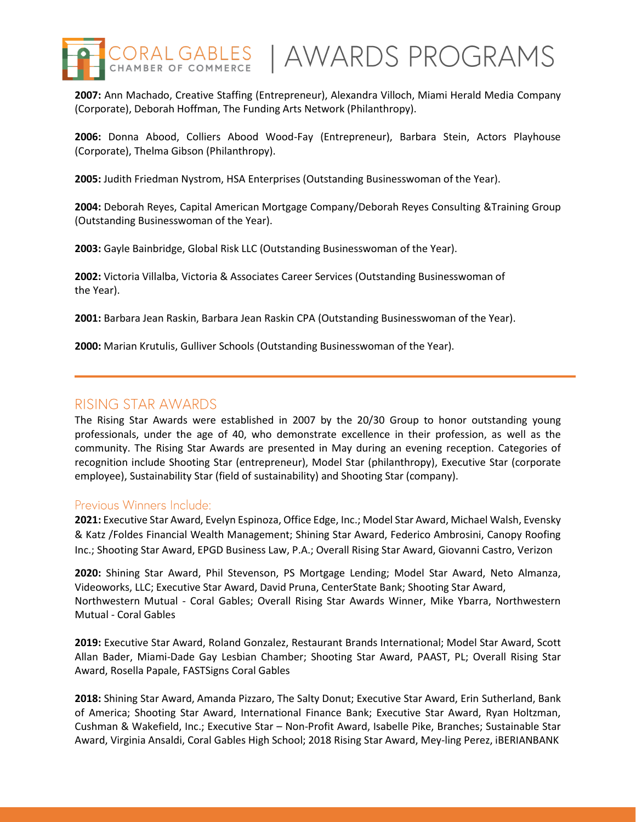

**2007:** Ann Machado, Creative Staffing (Entrepreneur), Alexandra Villoch, Miami Herald Media Company (Corporate), Deborah Hoffman, The Funding Arts Network (Philanthropy).

**2006:** Donna Abood, Colliers Abood Wood-Fay (Entrepreneur), Barbara Stein, Actors Playhouse (Corporate), Thelma Gibson (Philanthropy).

**2005:** Judith Friedman Nystrom, HSA Enterprises (Outstanding Businesswoman of the Year).

**2004:** Deborah Reyes, Capital American Mortgage Company/Deborah Reyes Consulting &Training Group (Outstanding Businesswoman of the Year).

**2003:** Gayle Bainbridge, Global Risk LLC (Outstanding Businesswoman of the Year).

**2002:** Victoria Villalba, Victoria & Associates Career Services (Outstanding Businesswoman of the Year).

**2001:** Barbara Jean Raskin, Barbara Jean Raskin CPA (Outstanding Businesswoman of the Year).

**2000:** Marian Krutulis, Gulliver Schools (Outstanding Businesswoman of the Year).

### RISING STAR AWARDS

The Rising Star Awards were established in 2007 by the 20/30 Group to honor outstanding young professionals, under the age of 40, who demonstrate excellence in their profession, as well as the community. The Rising Star Awards are presented in May during an evening reception. Categories of recognition include Shooting Star (entrepreneur), Model Star (philanthropy), Executive Star (corporate employee), Sustainability Star (field of sustainability) and Shooting Star (company).

#### Previous Winners Include:

**2021:** Executive Star Award, Evelyn Espinoza, Office Edge, Inc.; Model Star Award, Michael Walsh, Evensky & Katz /Foldes Financial Wealth Management; Shining Star Award, Federico Ambrosini, Canopy Roofing Inc.; Shooting Star Award, EPGD Business Law, P.A.; Overall Rising Star Award, Giovanni Castro, Verizon

**2020:** Shining Star Award, Phil Stevenson, PS Mortgage Lending; Model Star Award, Neto Almanza, Videoworks, LLC; Executive Star Award, David Pruna, CenterState Bank; Shooting Star Award, Northwestern Mutual - Coral Gables; Overall Rising Star Awards Winner, Mike Ybarra, Northwestern Mutual - Coral Gables

**2019:** Executive Star Award, Roland Gonzalez, Restaurant Brands International; Model Star Award, Scott Allan Bader, Miami-Dade Gay Lesbian Chamber; Shooting Star Award, PAAST, PL; Overall Rising Star Award, Rosella Papale, FASTSigns Coral Gables

**2018:** Shining Star Award, Amanda Pizzaro, The Salty Donut; Executive Star Award, Erin Sutherland, Bank of America; Shooting Star Award, International Finance Bank; Executive Star Award, Ryan Holtzman, Cushman & Wakefield, Inc.; Executive Star – Non-Profit Award, Isabelle Pike, Branches; Sustainable Star Award, Virginia Ansaldi, Coral Gables High School; 2018 Rising Star Award, Mey-ling Perez, iBERIANBANK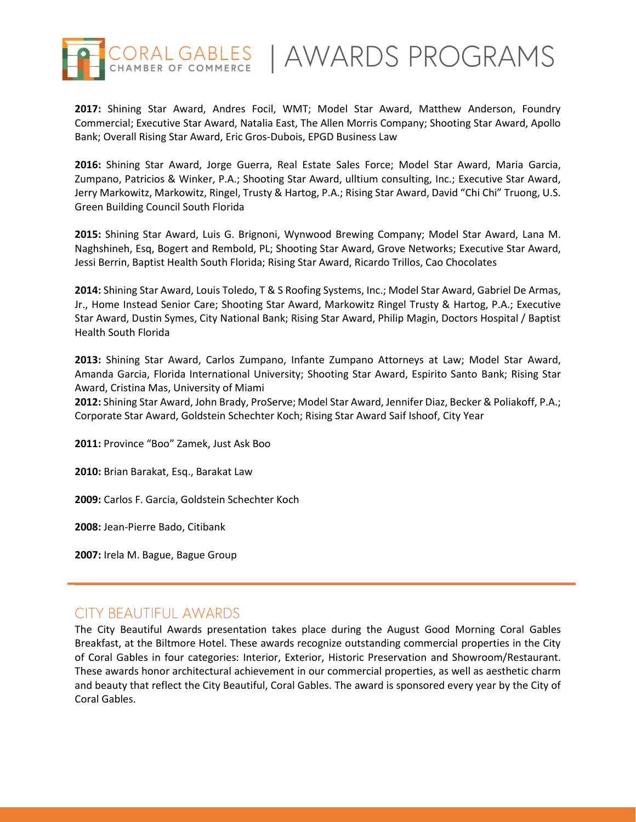

**2017:** Shining Star Award, Andres Focil, WMT; Model Star Award, Matthew Anderson, Foundry Commercial; Executive Star Award, Natalia East, The Allen Morris Company; Shooting Star Award, Apollo Bank; Overall Rising Star Award, Eric Gros-Dubois, EPGD Business Law

**2016:** Shining Star Award, Jorge Guerra, Real Estate Sales Force; Model Star Award, Maria Garcia, Zumpano, Patricios & Winker, P.A.; Shooting Star Award, ulltium consulting, Inc.; Executive Star Award, Jerry Markowitz, Markowitz, Ringel, Trusty & Hartog, P.A.; Rising Star Award, David "Chi Chi" Truong, U.S. Green Building Council South Florida

**2015:** Shining Star Award, Luis G. Brignoni, Wynwood Brewing Company; Model Star Award, Lana M. Naghshineh, Esq, Bogert and Rembold, PL; Shooting Star Award, Grove Networks; Executive Star Award, Jessi Berrin, Baptist Health South Florida; Rising Star Award, Ricardo Trillos, Cao Chocolates

**2014:** Shining Star Award, Louis Toledo, T & S Roofing Systems, Inc.; Model Star Award, Gabriel De Armas, Jr., Home Instead Senior Care; Shooting Star Award, Markowitz Ringel Trusty & Hartog, P.A.; Executive Star Award, Dustin Symes, City National Bank; Rising Star Award, Philip Magin, Doctors Hospital / Baptist Health South Florida

**2013:** Shining Star Award, Carlos Zumpano, Infante Zumpano Attorneys at Law; Model Star Award, Amanda Garcia, Florida International University; Shooting Star Award, Espirito Santo Bank; Rising Star Award, Cristina Mas, University of Miami

**2012:** Shining Star Award, John Brady, ProServe; Model Star Award, Jennifer Diaz, Becker & Poliakoff, P.A.; Corporate Star Award, Goldstein Schechter Koch; Rising Star Award Saif Ishoof, City Year

**2011:** Province "Boo" Zamek, Just Ask Boo

**2010:** Brian Barakat, Esq., Barakat Law

**2009:** Carlos F. Garcia, Goldstein Schechter Koch

**2008:** Jean-Pierre Bado, Citibank

**2007:** Irela M. Bague, Bague Group

## **CITY BEAUTIFUL AWARDS**

The City Beautiful Awards presentation takes place during the August Good Morning Coral Gables Breakfast, at the Biltmore Hotel. These awards recognize outstanding commercial properties in the City of Coral Gables in four categories: Interior, Exterior, Historic Preservation and Showroom/Restaurant. These awards honor architectural achievement in our commercial properties, as well as aesthetic charm and beauty that reflect the City Beautiful, Coral Gables. The award is sponsored every year by the City of Coral Gables.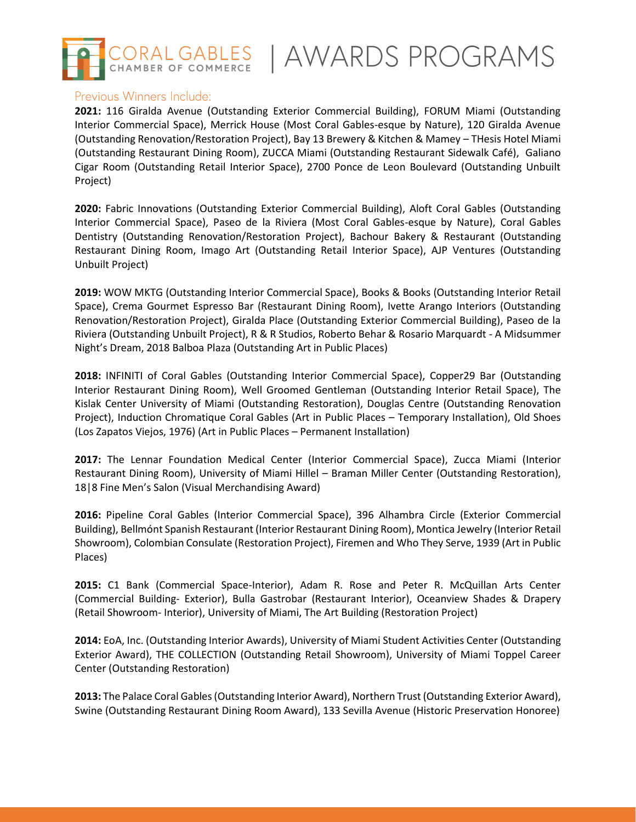

CORAL GABLES | AWARDS PROGRAMS

### Previous Winners Include:

**2021:** 116 Giralda Avenue (Outstanding Exterior Commercial Building), FORUM Miami (Outstanding Interior Commercial Space), Merrick House (Most Coral Gables-esque by Nature), 120 Giralda Avenue (Outstanding Renovation/Restoration Project), Bay 13 Brewery & Kitchen & Mamey – THesis Hotel Miami (Outstanding Restaurant Dining Room), ZUCCA Miami (Outstanding Restaurant Sidewalk Café), Galiano Cigar Room (Outstanding Retail Interior Space), 2700 Ponce de Leon Boulevard (Outstanding Unbuilt Project)

**2020:** Fabric Innovations (Outstanding Exterior Commercial Building), Aloft Coral Gables (Outstanding Interior Commercial Space), Paseo de la Riviera (Most Coral Gables-esque by Nature), Coral Gables Dentistry (Outstanding Renovation/Restoration Project), Bachour Bakery & Restaurant (Outstanding Restaurant Dining Room, Imago Art (Outstanding Retail Interior Space), AJP Ventures (Outstanding Unbuilt Project)

**2019:** WOW MKTG (Outstanding Interior Commercial Space), Books & Books (Outstanding Interior Retail Space), Crema Gourmet Espresso Bar (Restaurant Dining Room), Ivette Arango Interiors (Outstanding Renovation/Restoration Project), Giralda Place (Outstanding Exterior Commercial Building), Paseo de la Riviera (Outstanding Unbuilt Project), R & R Studios, Roberto Behar & Rosario Marquardt - A Midsummer Night's Dream, 2018 Balboa Plaza (Outstanding Art in Public Places)

**2018:** INFINITI of Coral Gables (Outstanding Interior Commercial Space), Copper29 Bar (Outstanding Interior Restaurant Dining Room), Well Groomed Gentleman (Outstanding Interior Retail Space), The Kislak Center University of Miami (Outstanding Restoration), Douglas Centre (Outstanding Renovation Project), Induction Chromatique Coral Gables (Art in Public Places – Temporary Installation), Old Shoes (Los Zapatos Viejos, 1976) (Art in Public Places – Permanent Installation)

**2017:** The Lennar Foundation Medical Center (Interior Commercial Space), Zucca Miami (Interior Restaurant Dining Room), University of Miami Hillel – Braman Miller Center (Outstanding Restoration), 18|8 Fine Men's Salon (Visual Merchandising Award)

**2016:** Pipeline Coral Gables (Interior Commercial Space), 396 Alhambra Circle (Exterior Commercial Building), Bellmónt Spanish Restaurant (Interior Restaurant Dining Room), Montica Jewelry (Interior Retail Showroom), Colombian Consulate (Restoration Project), Firemen and Who They Serve, 1939 (Art in Public Places)

**2015:** C1 Bank (Commercial Space-Interior), Adam R. Rose and Peter R. McQuillan Arts Center (Commercial Building- Exterior), Bulla Gastrobar (Restaurant Interior), Oceanview Shades & Drapery (Retail Showroom- Interior), University of Miami, The Art Building (Restoration Project)

**2014:** EoA, Inc. (Outstanding Interior Awards), University of Miami Student Activities Center (Outstanding Exterior Award), THE COLLECTION (Outstanding Retail Showroom), University of Miami Toppel Career Center (Outstanding Restoration)

**2013:** The Palace Coral Gables (Outstanding Interior Award), Northern Trust (Outstanding Exterior Award), Swine (Outstanding Restaurant Dining Room Award), 133 Sevilla Avenue (Historic Preservation Honoree)